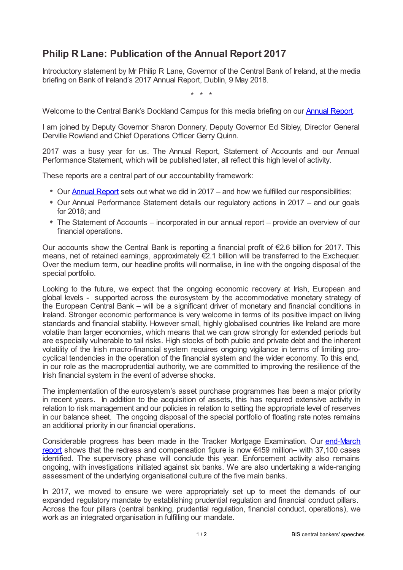## **Philip R Lane: Publication of the Annual Report 2017**

Introductory statement by Mr Philip R Lane, Governor of the Central Bank of Ireland, at the media briefing on Bank of Ireland's 2017 Annual Report, Dublin, 9 May 2018.

\* \* \*

Welcome to the Central Bank's Dockland Campus for this media briefing on our [Annual](www.centralbank.ie/docs/default-source/publications/corporate-reports/annual-reports/2017-central-bank-annual-report.pdf?sfvrsn=2) Report.

I am joined by Deputy Governor Sharon Donnery, Deputy Governor Ed Sibley, Director General Derville Rowland and Chief Operations Officer Gerry Quinn.

2017 was a busy year for us. The Annual Report, Statement of Accounts and our Annual Performance Statement, which will be published later, all reflect this high level of activity.

These reports are a central part of our accountability framework:

- Our [Annual](www.centralbank.ie/docs/default-source/publications/corporate-reports/annual-reports/2017-central-bank-annual-report.pdf?sfvrsn=2) Report sets out what we did in 2017 and how we fulfilled our responsibilities;
- Our Annual Performance Statement details our regulatory actions in 2017 and our goals for 2018; and
- The Statement of Accounts incorporated in our annual report provide an overview of our financial operations.

Our accounts show the Central Bank is reporting a financial profit of €2.6 billion for 2017. This means, net of retained earnings, approximately €2.1 billion will be transferred to the Exchequer. Over the medium term, our headline profits will normalise, in line with the ongoing disposal of the special portfolio.

Looking to the future, we expect that the ongoing economic recovery at Irish, European and global levels - supported across the eurosystem by the accommodative monetary strategy of the European Central Bank – will be a significant driver of monetary and financial conditions in Ireland. Stronger economic performance is very welcome in terms of its positive impact on living standards and financial stability. However small, highly globalised countries like Ireland are more volatile than larger economies, which means that we can grow strongly for extended periods but are especially vulnerable to tail risks. High stocks of both public and private debt and the inherent volatility of the Irish macro-financial system requires ongoing vigilance in terms of limiting procyclical tendencies in the operation of the financial system and the wider economy. To this end, in our role as the macroprudential authority, we are committed to improving the resilience of the Irish financial system in the event of adverse shocks.

The implementation of the eurosystem's asset purchase programmes has been a major priority in recent years. In addition to the acquisition of assets, this has required extensive activity in relation to risk management and our policies in relation to setting the appropriate level of reserves in our balance sheet. The ongoing disposal of the special portfolio of floating rate notes remains an additional priority in our financial operations.

Considerable progress has been made in the Tracker Mortgage Examination. Our end-March report shows that the redress and [compensation](www.centralbank.ie/consumer-hub/tracker-mortgage-examination) figure is now €459 million– with 37,100 cases identified. The supervisory phase will conclude this year. Enforcement activity also remains ongoing, with investigations initiated against six banks. We are also undertaking a wide-ranging assessment of the underlying organisational culture of the five main banks.

In 2017, we moved to ensure we were appropriately set up to meet the demands of our expanded regulatory mandate by establishing prudential regulation and financial conduct pillars. Across the four pillars (central banking, prudential regulation, financial conduct, operations), we work as an integrated organisation in fulfilling our mandate.